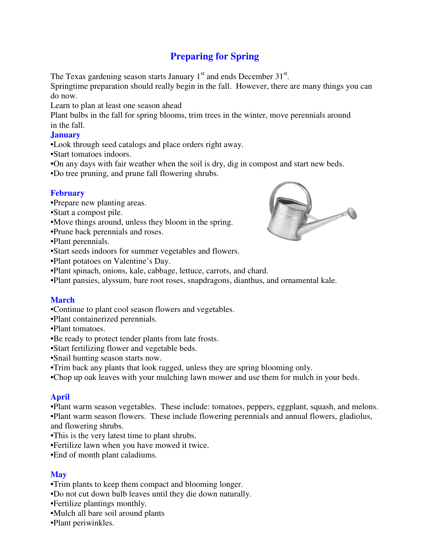# **Preparing for Spring**

The Texas gardening season starts January  $1<sup>st</sup>$  and ends December  $31<sup>st</sup>$ .

Springtime preparation should really begin in the fall. However, there are many things you can do now.

Learn to plan at least one season ahead

Plant bulbs in the fall for spring blooms, trim trees in the winter, move perennials around in the fall.

## **January**

- •Look through seed catalogs and place orders right away.
- •Start tomatoes indoors.
- •On any days with fair weather when the soil is dry, dig in compost and start new beds.
- •Do tree pruning, and prune fall flowering shrubs.

#### **February**

- •Prepare new planting areas.
- •Start a compost pile.
- •Move things around, unless they bloom in the spring.
- •Prune back perennials and roses.
- •Plant perennials.
- •Start seeds indoors for summer vegetables and flowers.
- •Plant potatoes on Valentine's Day.
- •Plant spinach, onions, kale, cabbage, lettuce, carrots, and chard.
- •Plant pansies, alyssum, bare root roses, snapdragons, dianthus, and ornamental kale.

#### **March**

- •Continue to plant cool season flowers and vegetables.
- •Plant containerized perennials.
- •Plant tomatoes.
- •Be ready to protect tender plants from late frosts.
- •Start fertilizing flower and vegetable beds.
- •Snail hunting season starts now.
- •Trim back any plants that look ragged, unless they are spring blooming only.
- •Chop up oak leaves with your mulching lawn mower and use them for mulch in your beds.

#### **April**

•Plant warm season vegetables. These include: tomatoes, peppers, eggplant, squash, and melons. •Plant warm season flowers. These include flowering perennials and annual flowers, gladiolus, and flowering shrubs.

- •This is the very latest time to plant shrubs.
- •Fertilize lawn when you have mowed it twice.
- •End of month plant caladiums.

#### **May**

- •Trim plants to keep them compact and blooming longer.
- •Do not cut down bulb leaves until they die down naturally.
- •Fertilize plantings monthly.
- •Mulch all bare soil around plants
- •Plant periwinkles.